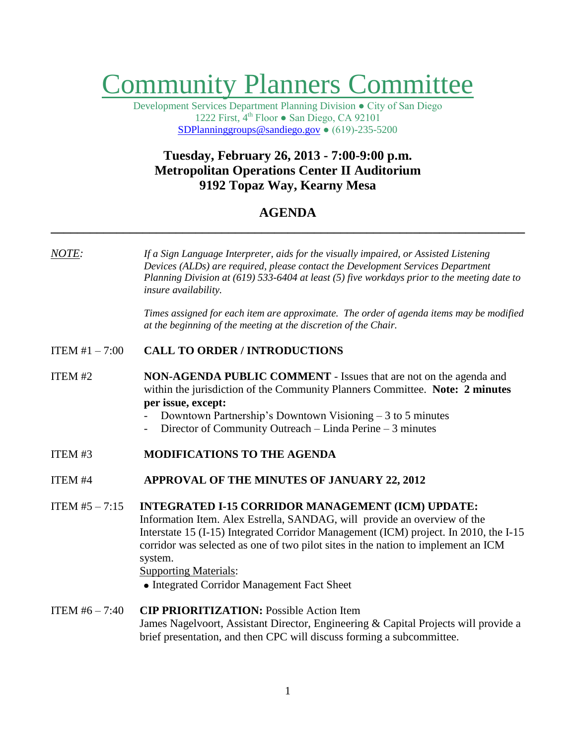# Community Planners Committee

Development Services Department Planning Division ● City of San Diego 1222 First,  $4<sup>th</sup>$  Floor  $\bullet$  San Diego, CA 92101 [SDPlanninggroups@sandiego.gov](mailto:SDPlanninggroups@sandiego.gov) ● (619)-235-5200

## **Tuesday, February 26, 2013 - 7:00-9:00 p.m. Metropolitan Operations Center II Auditorium 9192 Topaz Way, Kearny Mesa**

## **AGENDA \_\_\_\_\_\_\_\_\_\_\_\_\_\_\_\_\_\_\_\_\_\_\_\_\_\_\_\_\_\_\_\_\_\_\_\_\_\_\_\_\_\_\_\_\_\_\_\_\_\_\_\_\_\_\_\_\_\_\_\_\_\_\_\_\_\_\_\_\_\_\_\_**

*NOTE: If a Sign Language Interpreter, aids for the visually impaired, or Assisted Listening Devices (ALDs) are required, please contact the Development Services Department Planning Division at (619) 533-6404 at least (5) five workdays prior to the meeting date to insure availability.*

> *Times assigned for each item are approximate. The order of agenda items may be modified at the beginning of the meeting at the discretion of the Chair.*

#### ITEM #1 – 7:00 **CALL TO ORDER / INTRODUCTIONS**

#### **ITEM #2 NON-AGENDA PUBLIC COMMENT** - Issues that are not on the agenda and within the jurisdiction of the Community Planners Committee. **Note: 2 minutes per issue, except:**

- Downtown Partnership's Downtown Visioning  $-3$  to 5 minutes
- Director of Community Outreach Linda Perine 3 minutes
- **ITEM #3 MODIFICATIONS TO THE AGENDA**
- ITEM #4 **APPROVAL OF THE MINUTES OF JANUARY 22, 2012**

## ITEM #5 – 7:15 **INTEGRATED I-15 CORRIDOR MANAGEMENT (ICM) UPDATE:** Information Item. Alex Estrella, SANDAG, will provide an overview of the Interstate 15 (I-15) Integrated Corridor Management (ICM) project. In 2010, the I-15 corridor was selected as one of two pilot sites in the nation to implement an ICM system.

#### Supporting Materials:

• Integrated Corridor Management Fact Sheet

#### ITEM #6 – 7:40 **CIP PRIORITIZATION:** Possible Action Item James Nagelvoort, Assistant Director, Engineering & Capital Projects will provide a brief presentation, and then CPC will discuss forming a subcommittee.